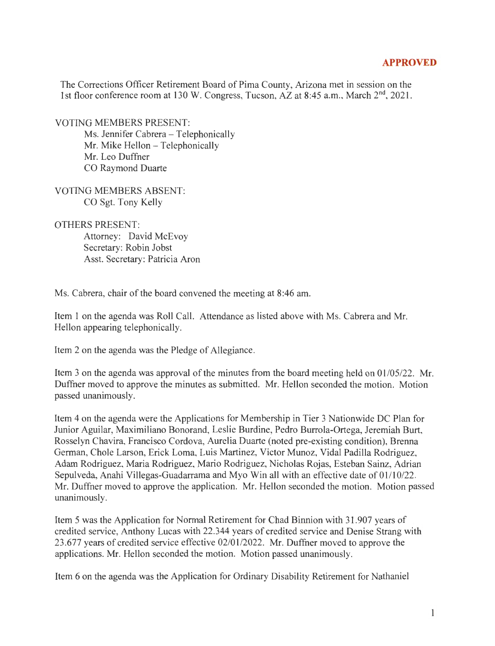## **APPROVED**

The Corrections Officer Retirement Board of Pima County, Arizona met in session on the 1st floor conference room at 130 W. Congress, Tucson,  $AZ$  at 8:45 a.m., March  $2<sup>nd</sup>$ , 2021.

VOTING MEMBERS PRESENT:

Ms. Jennifer Cabrera - Telephonically Mr. Mike Hellon - Telephonically Mr. Leo Duffner CO Raymond Duarte

VOTING MEMBERS ABSENT: CO Sgt. Tony Kelly

OTHERS PRESENT:

Attorney: David McEvoy Secretary: Robin Jobst Asst. Secretary: Patricia Aron

Ms. Cabrera, chair of the board convened the meeting at 8:46 am.

Item 1 on the agenda was Roll Call. Attendance as listed above with Ms. Cabrera and Mr. Hellon appearing telephonically.

Item 2 on the agenda was the Pledge of Allegiance.

Item 3 on the agenda was approval of the minutes from the board meeting held on 01/05/22. Mr. Duffner moved to approve the minutes as submitted. Mr. Hellon seconded the motion. Motion passed unanimously.

Item 4 on the agenda were the Applications for Membership in Tier 3 Nationwide DC Plan for Junior Aguilar, Maximiliano Bonorand, Leslie Burdine, Pedro Burrola-Ortega, Jeremiah Burt, Rosselyn Chavira, Francisco Cordova, Aurelia Duarte (noted pre-existing condition), Brenna German, Chole Larson, Erick Loma, Luis Martinez, Victor Munoz, Vidal Padilla Rodriguez, Adam Rodriguez, Maria Rodriguez, Mario Rodriguez, Nicholas Rojas, Esteban Sainz, Adrian Sepulveda, Anahi Villegas-Guadarrama and Myo Win all with an effective date of 01/10/22. Mr. Duffner moved to approve the application. Mr. Hellon seconded the motion. Motion passed unanimously.

Item 5 was the Application for Normal Retirement for Chad Binnion with 31.907 years of credited service, Anthony Lucas with 22.344 years of credited service and Denise Strang with 23.677 years of credited service effective 02/01/2022. Mr. Duffner moved to approve the applications. Mr. Hellon seconded the motion. Motion passed unanimously.

Item 6 on the agenda was the Application for Ordinary Disability Retirement for Nathaniel